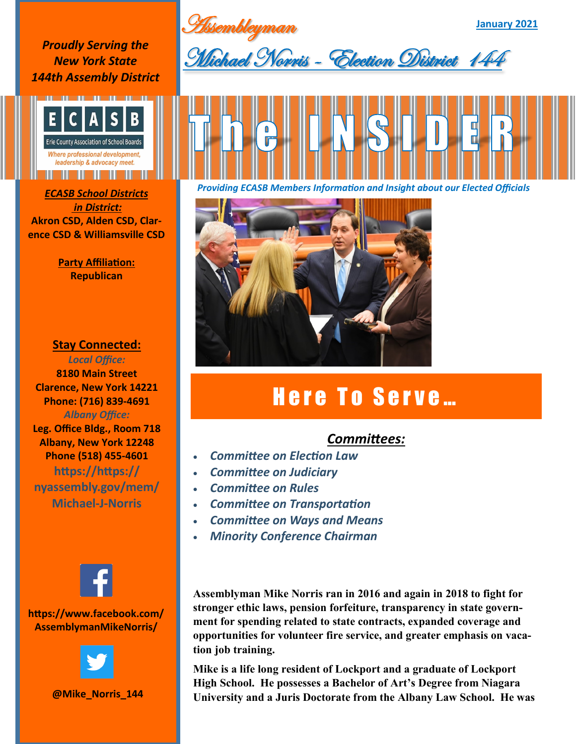**Assembleyman** 

**January 2021**

*Proudly Serving the New York State 144th Assembly District*



*in District:* **Akron CSD, Alden CSD, Clarence CSD & Williamsville CSD**

> **Party Affiliation: Republican**

## **Stay Connected:**

*Local Office:* **8180 Main Street Clarence, New York 14221 Phone: (716) 839-4691** *Albany Office:*  **Leg. Office Bldg., Room 718 Albany, New York 12248 Phone (518) 455-4601 https://https:// nyassembly.gov/mem/ Michael-J-Norris**



## **https://www.facebook.com/ AssemblymanMikeNorris/**



**@Mike\_Norris\_144**







## Here To Serve...

## *Committees:*

- *Committee on Election Law*
- *Committee on Judiciary*
- *Committee on Rules*
- *Committee on Transportation*
- *Committee on Ways and Means*
- *Minority Conference Chairman*

**Assemblyman Mike Norris ran in 2016 and again in 2018 to fight for stronger ethic laws, pension forfeiture, transparency in state government for spending related to state contracts, expanded coverage and opportunities for volunteer fire service, and greater emphasis on vacation job training.** 

**Mike is a life long resident of Lockport and a graduate of Lockport High School. He possesses a Bachelor of Art's Degree from Niagara University and a Juris Doctorate from the Albany Law School. He was**